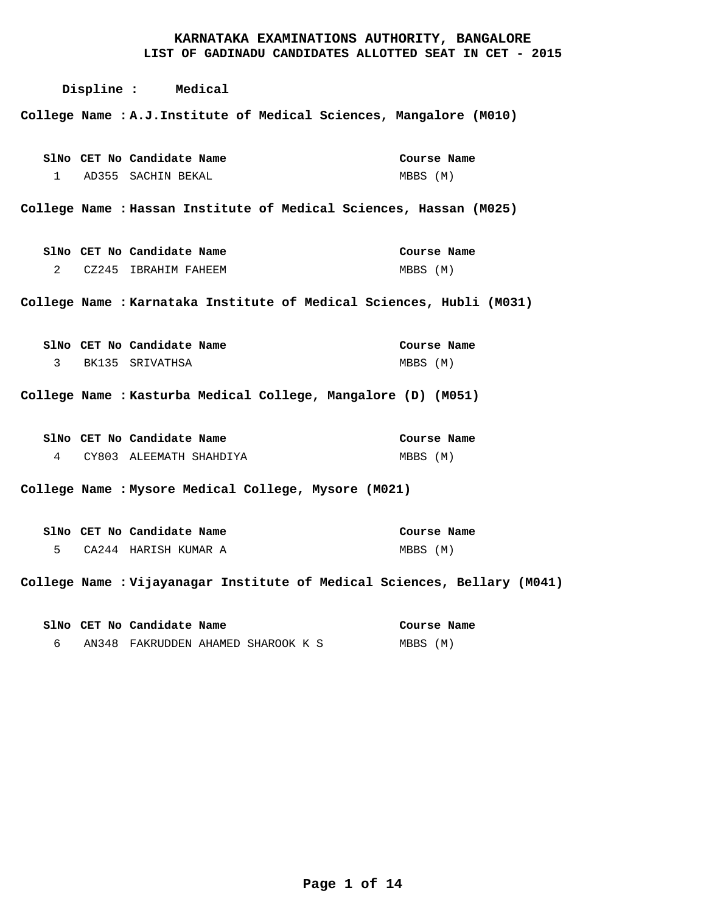# **LIST OF GADINADU CANDIDATES ALLOTTED SEAT IN CET - 2015 Displine : Medical A.J.Institute of Medical Sciences, Mangalore (M010) College Name : Hassan Institute of Medical Sciences, Hassan (M025) College Name : Karnataka Institute of Medical Sciences, Hubli (M031) College Name : Kasturba Medical College, Mangalore (D) (M051) College Name : Mysore Medical College, Mysore (M021) College Name : Vijayanagar Institute of Medical Sciences, Bellary (M041) College Name :** AD355 SACHIN BEKAL CZ245 IBRAHIM FAHEEM 2 BK135 SRIVATHSA CY803 ALEEMATH SHAHDIYA CA244 HARISH KUMAR A **CET No Candidate Name SlNo CET No Candidate Name SlNo CET No Candidate Name SlNo CET No Candidate Name SlNo CET No Candidate Name SlNo CET No Candidate Name SlNo** MBBS (M) MBBS (M) MBBS (M) MBBS (M) MBBS (M) **Course Name Course Name Course Name Course Name Course Name Course Name**  1 3 4 5

AN348 FAKRUDDEN AHAMED SHAROOK K S 6

MBBS (M)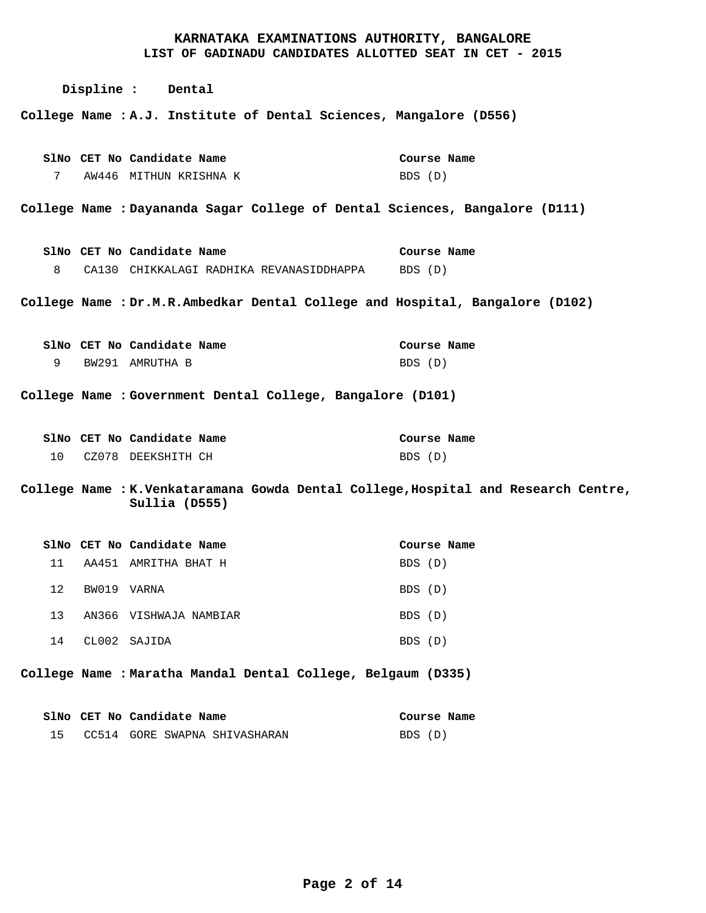|    |             | Displine : Dental                                                                                                                      |                        |
|----|-------------|----------------------------------------------------------------------------------------------------------------------------------------|------------------------|
|    |             | College Name : A.J. Institute of Dental Sciences, Mangalore (D556)                                                                     |                        |
| 7  |             | SlNo CET No Candidate Name<br>AW446 MITHUN KRISHNA K                                                                                   | Course Name<br>BDS (D) |
|    |             | College Name : Dayananda Sagar College of Dental Sciences, Bangalore (D111)                                                            |                        |
| 8  |             | SlNo CET No Candidate Name<br>CA130 CHIKKALAGI RADHIKA REVANASIDDHAPPA BDS (D)                                                         | Course Name            |
|    |             | College Name : Dr.M.R.Ambedkar Dental College and Hospital, Bangalore (D102)                                                           |                        |
| 9  |             | SlNo CET No Candidate Name<br>BW291 AMRUTHA B                                                                                          | Course Name<br>BDS (D) |
|    |             | College Name : Government Dental College, Bangalore (D101)                                                                             |                        |
| 10 |             | SlNo CET No Candidate Name<br>CZ078 DEEKSHITH CH<br>College Name : K.Venkataramana Gowda Dental College, Hospital and Research Centre, | Course Name<br>BDS (D) |
|    |             | Sullia (D555)                                                                                                                          |                        |
|    |             | SlNo CET No Candidate Name                                                                                                             | Course Name            |
| 11 |             | AA451 AMRITHA BHAT H                                                                                                                   | BDS (D)                |
| 12 | BW019 VARNA |                                                                                                                                        | BDS (D)                |
| 13 |             | AN366 VISHWAJA NAMBIAR                                                                                                                 | BDS (D)                |
| 14 |             | CL002 SAJIDA                                                                                                                           | BDS (D)                |

**Maratha Mandal Dental College, Belgaum (D335) College Name :**

|  | SlNo CET No Candidate Name       | Course Name |
|--|----------------------------------|-------------|
|  | 15 CC514 GORE SWAPNA SHIVASHARAN | BDS (D)     |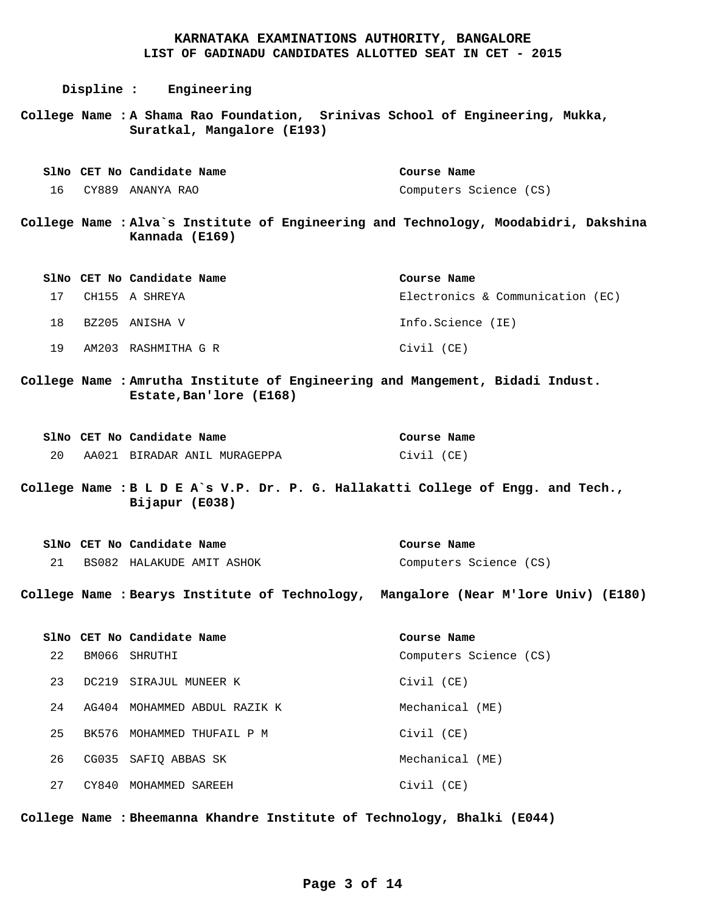**Displine : Engineering A Shama Rao Foundation, Srinivas School of Engineering, Mukka, College Name : Suratkal, Mangalore (E193) Alva`s Institute of Engineering and Technology, Moodabidri, Dakshina College Name : Kannada (E169) Amrutha Institute of Engineering and Mangement, Bidadi Indust. College Name : Estate,Ban'lore (E168) B L D E A`s V.P. Dr. P. G. Hallakatti College of Engg. and Tech., College Name : Bijapur (E038) Bearys Institute of Technology, Mangalore (Near M'lore Univ) (E180) College Name :** CY889 ANANYA RAO 16 CH155 A SHREYA 17 18 BZ205 ANISHA V AM203 RASHMITHA G R AA021 BIRADAR ANIL MURAGEPPA BS082 HALAKUDE AMIT ASHOK BM066 SHRUTHI DC219 SIRAJUL MUNEER K **CET No Candidate Name SlNo CET No Candidate Name SlNo CET No Candidate Name SlNo** SlNo CET No Candidate Name SlNo CET No Candidate Name Computers Science (CS) Electronics & Communication (EC) Info.Science (IE) Civil (CE) Civil (CE) Computers Science (CS) Computers Science (CS) **Course Name Course Name Course Name Course Name Course Name**  19 20 21 22

Civil (CE)

Civil (CE)

Civil (CE)

Mechanical (ME)

Mechanical (ME)

**Bheemanna Khandre Institute of Technology, Bhalki (E044) College Name :**

AG404 MOHAMMED ABDUL RAZIK K

BK576 MOHAMMED THUFAIL P M

CG035 SAFIQ ABBAS SK

23

24

25

26

27

CY840 MOHAMMED SAREEH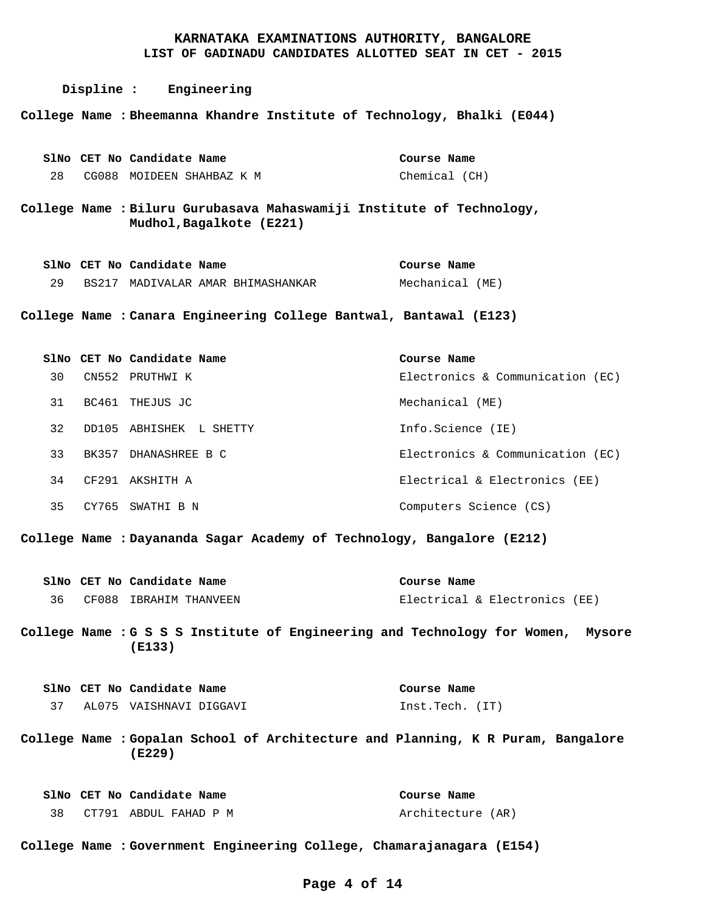**Displine : Engineering Bheemanna Khandre Institute of Technology, Bhalki (E044) College Name :** CG088 MOIDEEN SHAHBAZ K M 28 **CET No Candidate Name SlNo** Chemical (CH) **Course Name** 

**Biluru Gurubasava Mahaswamiji Institute of Technology, College Name : Mudhol,Bagalkote (E221)**

|  | SlNo CET No Candidate Name |                                   | Course Name     |  |
|--|----------------------------|-----------------------------------|-----------------|--|
|  |                            | BS217 MADIVALAR AMAR BHIMASHANKAR | Mechanical (ME) |  |

**Canara Engineering College Bantwal, Bantawal (E123) College Name :**

|    |       | SlNo CET No Candidate Name | Course Name                      |
|----|-------|----------------------------|----------------------------------|
| 30 | CN552 | PRUTHWI K                  | Electronics & Communication (EC) |
| 31 | BC461 | THEJUS JC                  | Mechanical (ME)                  |
| 32 | DD105 | ABHISHEK L SHETTY          | Info.Science (IE)                |
| 33 | BK357 | DHANASHREE B C             | Electronics & Communication (EC) |
| 34 | CF291 | AKSHITH A                  | Electrical & Electronics (EE)    |
| 35 | CY765 | SWATHI B N                 | Computers Science (CS)           |

**Dayananda Sagar Academy of Technology, Bangalore (E212) College Name :**

|  | SlNo CET No Candidate Name | Course Name                   |
|--|----------------------------|-------------------------------|
|  | CF088 IBRAHIM THANVEEN     | Electrical & Electronics (EE) |

College Name : G S S S Institute of Engineering and Technology for Women, Mysore **(E133)**

|  | SlNo CET No Candidate Name | Course Name     |  |
|--|----------------------------|-----------------|--|
|  | AL075 VAISHNAVI DIGGAVI    | Inst.Tech. (IT) |  |

**Gopalan School of Architecture and Planning, K R Puram, Bangalore College Name : (E229)**

|  | SlNo CET No Candidate Name | Course Name       |  |
|--|----------------------------|-------------------|--|
|  | CT791 ABDUL FAHAD P M      | Architecture (AR) |  |

College Name : Government Engineering College, Chamarajanagara (E154)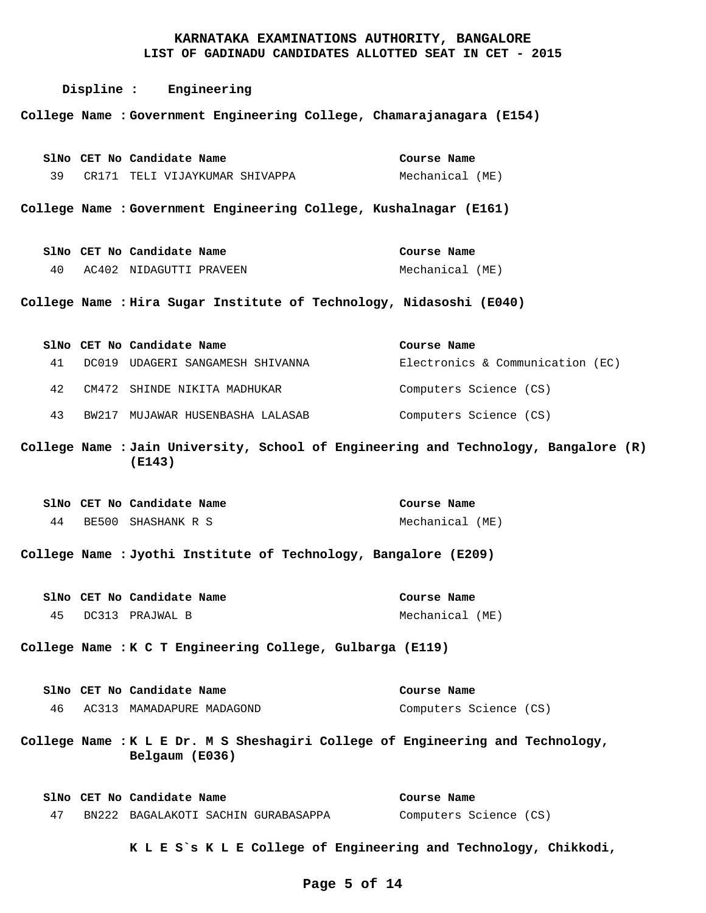**LIST OF GADINADU CANDIDATES ALLOTTED SEAT IN CET - 2015**

|    | Displine : Engineering                                                                           |                                  |
|----|--------------------------------------------------------------------------------------------------|----------------------------------|
|    | College Name : Government Engineering College, Chamarajanagara (E154)                            |                                  |
|    | SlNo CET No Candidate Name                                                                       | Course Name                      |
| 39 | CR171 TELI VIJAYKUMAR SHIVAPPA                                                                   | Mechanical (ME)                  |
|    | College Name : Government Engineering College, Kushalnagar (E161)                                |                                  |
|    | SlNo CET No Candidate Name                                                                       | Course Name                      |
|    | 40 AC402 NIDAGUTTI PRAVEEN                                                                       | Mechanical (ME)                  |
|    | College Name : Hira Sugar Institute of Technology, Nidasoshi (E040)                              |                                  |
|    | SlNo CET No Candidate Name                                                                       | Course Name                      |
| 41 | DC019 UDAGERI SANGAMESH SHIVANNA                                                                 | Electronics & Communication (EC) |
| 42 | CM472 SHINDE NIKITA MADHUKAR                                                                     | Computers Science (CS)           |
| 43 | BW217 MUJAWAR HUSENBASHA LALASAB                                                                 | Computers Science (CS)           |
|    | College Name : Jain University, School of Engineering and Technology, Bangalore (R)<br>(E143)    |                                  |
|    | SlNo CET No Candidate Name                                                                       | Course Name                      |
| 44 | BE500 SHASHANK R S                                                                               | Mechanical (ME)                  |
|    | College Name : Jyothi Institute of Technology, Bangalore (E209)                                  |                                  |
|    | SlNo CET No Candidate Name                                                                       | Course Name                      |
| 45 | DC313 PRAJWAL B                                                                                  | Mechanical (ME)                  |
|    | College Name : K C T Engineering College, Gulbarga (E119)                                        |                                  |
|    | SlNo CET No Candidate Name                                                                       | Course Name                      |
|    | 46 AC313 MAMADAPURE MADAGOND                                                                     | Computers Science (CS)           |
|    | College Name : K L E Dr. M S Sheshagiri College of Engineering and Technology,<br>Belgaum (E036) |                                  |
|    | SlNo CET No Candidate Name                                                                       | Course Name                      |
| 47 | BN222 BAGALAKOTI SACHIN GURABASAPPA                                                              | Computers Science (CS)           |
|    | K L E S`s K L E College of Engineering and Technology, Chikkodi,                                 |                                  |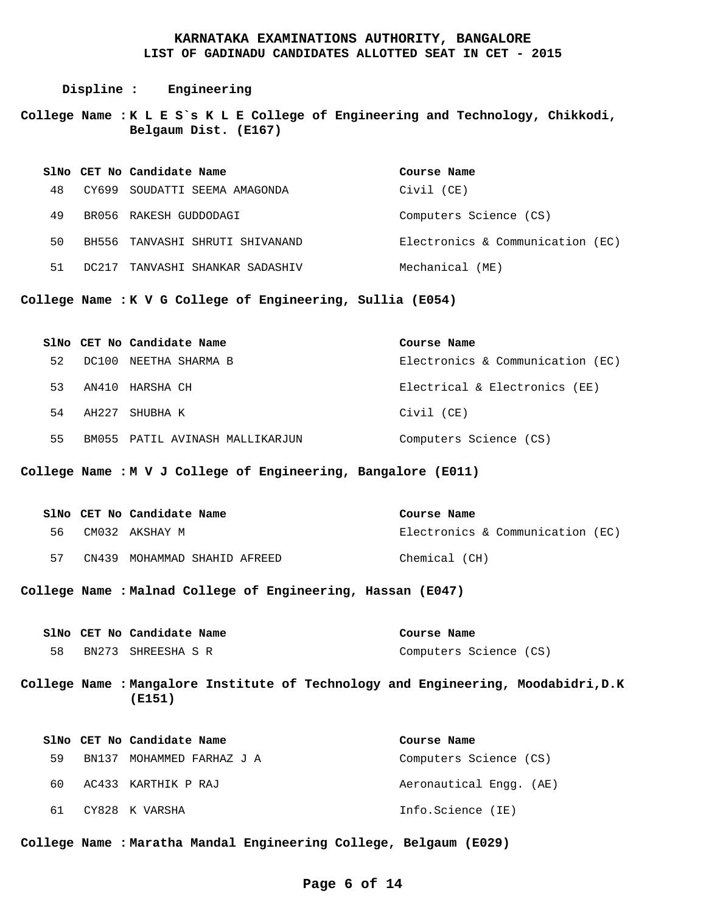**Displine : Engineering**

**K L E S`s K L E College of Engineering and Technology, Chikkodi, College Name : Belgaum Dist. (E167)**

|    |       | SlNo CET No Candidate Name | Course Name                      |
|----|-------|----------------------------|----------------------------------|
| 48 | CY699 | SOUDATTI SEEMA AMAGONDA    | Civil (CE)                       |
| 49 |       | BR056 RAKESH GUDDODAGI     | Computers Science (CS)           |
| 50 | BH556 | TANVASHI SHRUTI SHIVANAND  | Electronics & Communication (EC) |
| 51 |       | TANVASHI SHANKAR SADASHIV  | Mechanical (ME)                  |

**K V G College of Engineering, Sullia (E054) College Name :**

|    |       | SlNo CET No Candidate Name      | Course Name                      |
|----|-------|---------------------------------|----------------------------------|
| 52 |       | DC100 NEETHA SHARMA B           | Electronics & Communication (EC) |
| 53 |       | AN410 HARSHA CH                 | Electrical & Electronics (EE)    |
| 54 | AH227 | SHUBHA K                        | Civil (CE)                       |
| 55 |       | BM055 PATIL AVINASH MALLIKARJUN | Computers Science (CS)           |

**M V J College of Engineering, Bangalore (E011) College Name :**

|     | SlNo CET No Candidate Name   | Course Name                      |
|-----|------------------------------|----------------------------------|
| 56. | CM032 AKSHAY M               | Electronics & Communication (EC) |
| 57  | CN439 MOHAMMAD SHAHID AFREED | Chemical (CH)                    |

**Malnad College of Engineering, Hassan (E047) College Name :**

|    | SlNo CET No Candidate Name | Course Name            |  |
|----|----------------------------|------------------------|--|
| 58 | BN273 SHREESHA S R         | Computers Science (CS) |  |

**Mangalore Institute of Technology and Engineering, Moodabidri,D.K College Name : (E151)**

|     | SlNo CET No Candidate Name | Course Name             |
|-----|----------------------------|-------------------------|
| 59  | BN137 MOHAMMED FARHAZ J A  | Computers Science (CS)  |
| 60. | AC433 KARTHIK P RAJ        | Aeronautical Engg. (AE) |
| 61  | CY828 K VARSHA             | Info.Science (IE)       |

**Maratha Mandal Engineering College, Belgaum (E029) College Name :**

#### **Page 6 of 14**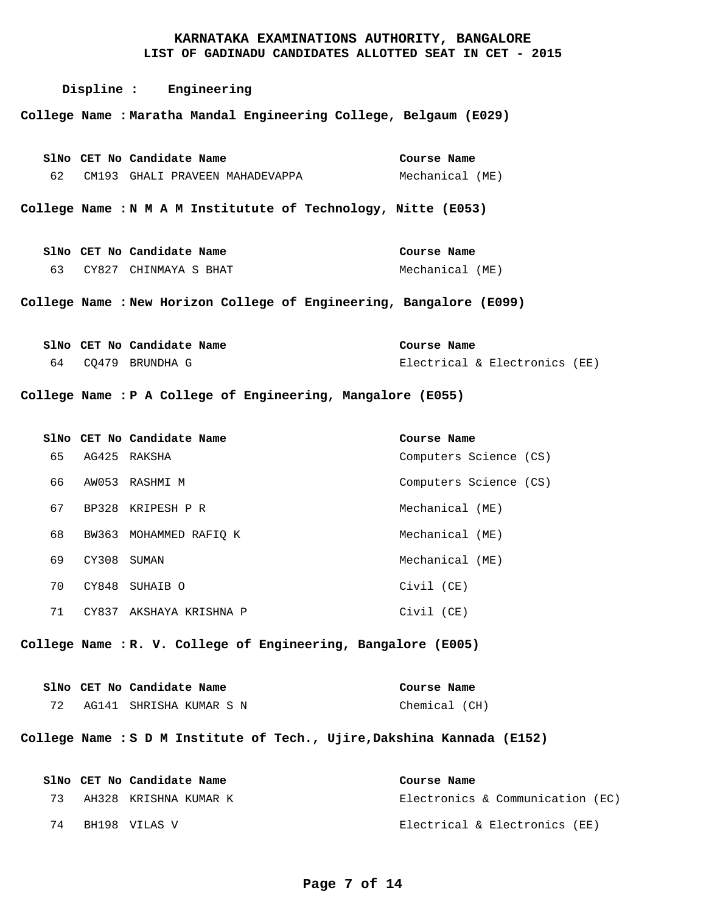#### **Displine : Engineering Maratha Mandal Engineering College, Belgaum (E029) College Name :** College Name : N M A M Institutute of Technology, Nitte (E053) College Name : New Horizon College of Engineering, Bangalore (E099) College Name : P A College of Engineering, Mangalore (E055) **R. V. College of Engineering, Bangalore (E005) College Name : S D M Institute of Tech., Ujire,Dakshina Kannada (E152) College Name :** CM193 GHALI PRAVEEN MAHADEVAPPA CY827 CHINMAYA S BHAT 63 CQ479 BRUNDHA G 64 AG425 RAKSHA AW053 RASHMI M BP328 KRIPESH P R BW363 MOHAMMED RAFIQ K CY308 SUMAN CY848 SUHAIB O CY837 AKSHAYA KRISHNA P AG141 SHRISHA KUMAR S N AH328 KRISHNA KUMAR K BH198 VILAS V 74**CET No Candidate Name SlNo CET No Candidate Name SlNo CET No Candidate Name SlNo CET No Candidate Name SlNo CET No Candidate Name SlNo CET No Candidate Name SlNo** Mechanical (ME) Mechanical (ME) Electrical & Electronics (EE) Computers Science (CS) Computers Science (CS) Mechanical (ME) Mechanical (ME) Mechanical (ME) Civil (CE) Civil (CE) Chemical (CH) Electronics & Communication (EC) Electrical & Electronics (EE) **Course Name Course Name Course Name Course Name Course Name Course Name**  62 65 66 67 68 69 70 71 72 73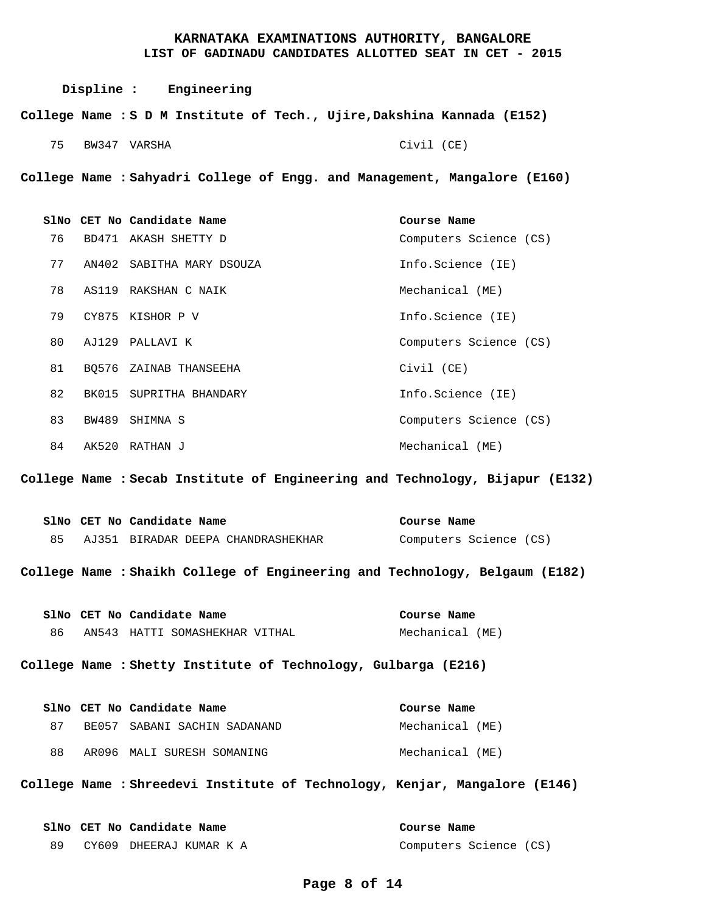Civil (CE)

**Displine : Engineering S D M Institute of Tech., Ujire,Dakshina Kannada (E152) College Name :**

BW347 VARSHA 75

**Sahyadri College of Engg. and Management, Mangalore (E160) College Name :**

BD471 AKASH SHETTY D AN402 SABITHA MARY DSOUZA AS119 RAKSHAN C NAIK CY875 KISHOR P V AJ129 PALLAVI K BQ576 ZAINAB THANSEEHA BK015 SUPRITHA BHANDARY BW489 SHIMNA S AK520 RATHAN J **CET No Candidate Name SlNo** Computers Science (CS) Info.Science (IE) Mechanical (ME) Info.Science (IE) Computers Science (CS) Civil (CE) Info.Science (IE) Computers Science (CS) Mechanical (ME) **Course Name**  76 77 78 79 80 81 82 83 84

**Secab Institute of Engineering and Technology, Bijapur (E132) College Name :**

|  | SlNo CET No Candidate Name         | Course Name            |
|--|------------------------------------|------------------------|
|  | AJ351 BIRADAR DEEPA CHANDRASHEKHAR | Computers Science (CS) |

**Shaikh College of Engineering and Technology, Belgaum (E182) College Name :**

AN543 HATTI SOMASHEKHAR VITHAL **CET No Candidate Name SlNo** Mechanical (ME) **Course Name**  86

**Shetty Institute of Technology, Gulbarga (E216) College Name :**

|      | SlNo CET No Candidate Name   | Course Name     |  |
|------|------------------------------|-----------------|--|
| 87 R | BE057 SABANI SACHIN SADANAND | Mechanical (ME) |  |
| 88   | AR096 MALI SURESH SOMANING   | Mechanical (ME) |  |

**Shreedevi Institute of Technology, Kenjar, Mangalore (E146) College Name :**

|  | SlNo CET No Candidate Name | Course Name            |
|--|----------------------------|------------------------|
|  | CY609 DHEERAJ KUMAR K A    | Computers Science (CS) |

#### **Page 8 of 14**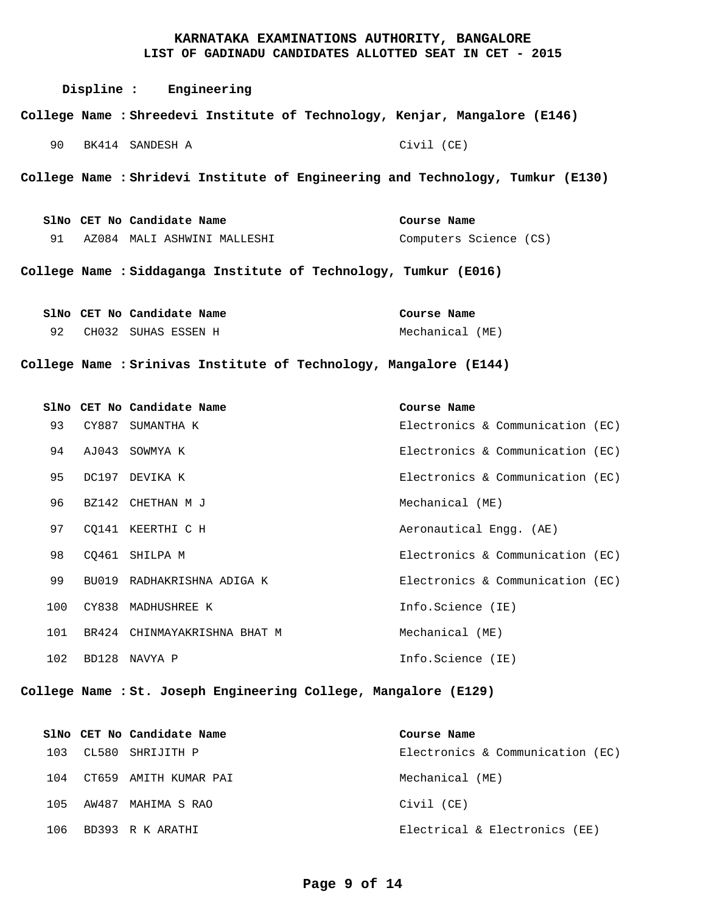| Displine : Engineering                                                         |                        |
|--------------------------------------------------------------------------------|------------------------|
| College Name : Shreedevi Institute of Technology, Kenjar, Mangalore (E146)     |                        |
| 90 BK414 SANDESH A                                                             | Civil (CE)             |
| College Name : Shridevi Institute of Engineering and Technology, Tumkur (E130) |                        |
| SlNo CET No Candidate Name                                                     | Course Name            |
| 91 AZ084 MALI ASHWINI MALLESHI                                                 | Computers Science (CS) |
| College Name : Siddaganga Institute of Technology, Tumkur (E016)               |                        |
| SlNo CET No Candidate Name                                                     | Course Name            |
| 92 CH032 SUHAS ESSEN H                                                         | Mechanical (ME)        |
|                                                                                |                        |

**Srinivas Institute of Technology, Mangalore (E144) College Name :**

|     | SlNo CET No Candidate Name   | Course Name                      |
|-----|------------------------------|----------------------------------|
| 93  | CY887 SUMANTHA K             | Electronics & Communication (EC) |
| 94  | AJ043 SOWMYA K               | Electronics & Communication (EC) |
| 95  | DC197 DEVIKA K               | Electronics & Communication (EC) |
| 96  | BZ142 CHETHAN M J            | Mechanical (ME)                  |
| 97  | CO141 KEERTHI C H            | Aeronautical Engg. (AE)          |
| 98  | CO461 SHILPA M               | Electronics & Communication (EC) |
| 99  | BU019 RADHAKRISHNA ADIGA K   | Electronics & Communication (EC) |
| 100 | CY838 MADHUSHREE K           | Info.Science (IE)                |
| 101 | BR424 CHINMAYAKRISHNA BHAT M | Mechanical (ME)                  |
| 102 | BD128 NAVYA P                | Info.Science (IE)                |

**St. Joseph Engineering College, Mangalore (E129) College Name :**

|     | SlNo CET No Candidate Name | Course Name                      |
|-----|----------------------------|----------------------------------|
| 103 | CL580 SHRIJITH P           | Electronics & Communication (EC) |
| 104 | CT659 AMITH KUMAR PAI      | Mechanical (ME)                  |
| 105 | AW487 MAHIMA S RAO         | Civil (CE)                       |
| 106 | BD393 R K ARATHI           | Electrical & Electronics (EE)    |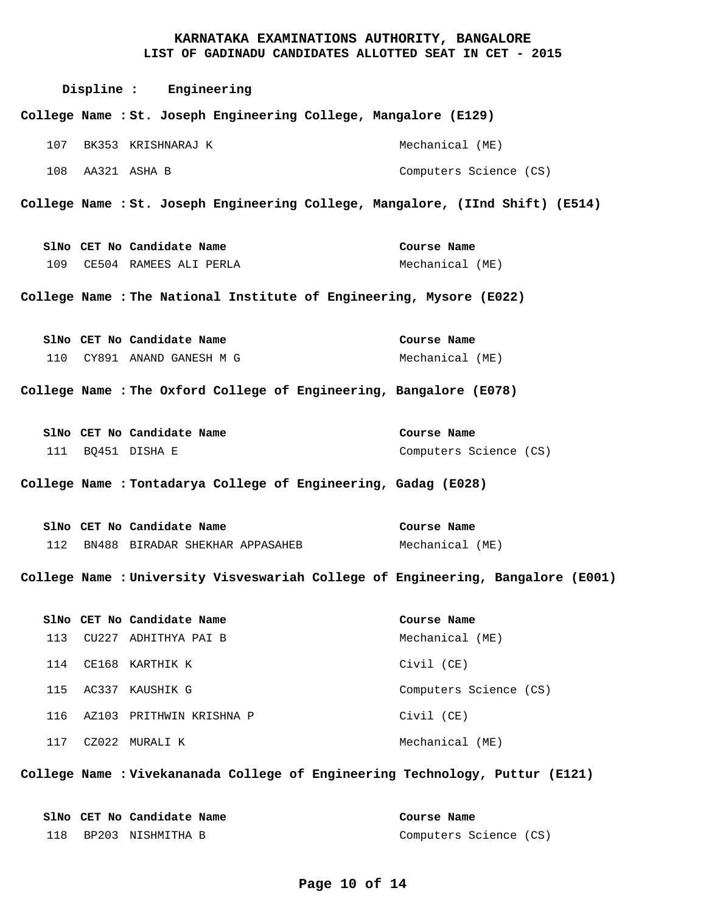|     | Displine : Engineering                                                          |                                |
|-----|---------------------------------------------------------------------------------|--------------------------------|
|     | College Name : St. Joseph Engineering College, Mangalore (E129)                 |                                |
| 107 | BK353 KRISHNARAJ K                                                              | Mechanical (ME)                |
| 108 | AA321 ASHA B                                                                    | Computers Science (CS)         |
|     | College Name : St. Joseph Engineering College, Mangalore, (IInd Shift) (E514)   |                                |
|     | SlNo CET No Candidate Name                                                      | Course Name                    |
| 109 | CE504 RAMEES ALI PERLA                                                          | Mechanical (ME)                |
|     | College Name : The National Institute of Engineering, Mysore (E022)             |                                |
|     |                                                                                 |                                |
|     | SlNo CET No Candidate Name<br>110 CY891 ANAND GANESH M G                        | Course Name<br>Mechanical (ME) |
|     |                                                                                 |                                |
|     | College Name : The Oxford College of Engineering, Bangalore (E078)              |                                |
|     | SlNo CET No Candidate Name                                                      | Course Name                    |
|     | 111 BQ451 DISHA E                                                               | Computers Science (CS)         |
|     | College Name : Tontadarya College of Engineering, Gadag (E028)                  |                                |
|     | SlNo CET No Candidate Name                                                      | Course Name                    |
| 112 | BN488 BIRADAR SHEKHAR APPASAHEB                                                 | Mechanical (ME)                |
|     | College Name : University Visveswariah College of Engineering, Bangalore (E001) |                                |
|     | SlNo CET No Candidate Name                                                      | Course Name                    |
| 113 | CU227 ADHITHYA PAI B                                                            | Mechanical (ME)                |
| 114 | CE168 KARTHIK K                                                                 | Civil (CE)                     |
| 115 | AC337 KAUSHIK G                                                                 | Computers Science (CS)         |
| 116 | AZ103 PRITHWIN KRISHNA P                                                        | Civil (CE)                     |
| 117 | CZ022 MURALI K                                                                  | Mechanical (ME)                |

**Vivekananada College of Engineering Technology, Puttur (E121) College Name :**

|  | SlNo CET No Candidate Name | Course Name            |  |
|--|----------------------------|------------------------|--|
|  | 118 BP203 NISHMITHA B      | Computers Science (CS) |  |

## **Page 10 of 14**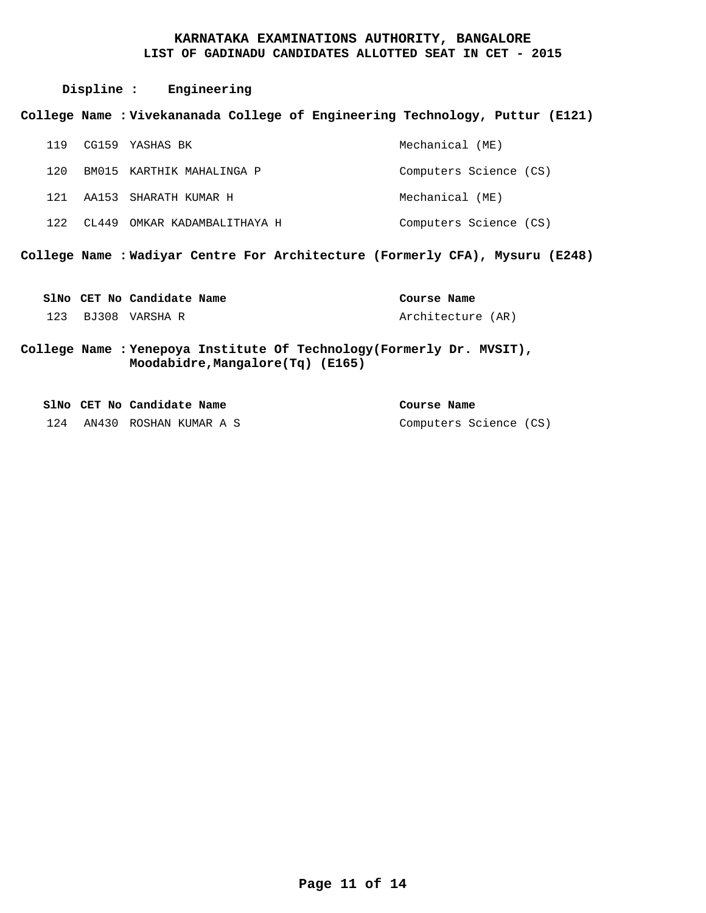|     | Displine : Engineering                                                                                     |                        |
|-----|------------------------------------------------------------------------------------------------------------|------------------------|
|     | College Name : Vivekananada College of Engineering Technology, Puttur (E121)                               |                        |
|     | 119 CG159 YASHAS BK                                                                                        | Mechanical (ME)        |
| 120 | BM015 KARTHIK MAHALINGA P                                                                                  | Computers Science (CS) |
|     | 121 AA153 SHARATH KUMAR H                                                                                  | Mechanical (ME)        |
|     | 122 CL449 OMKAR KADAMBALITHAYA H                                                                           | Computers Science (CS) |
|     | College Name : Wadiyar Centre For Architecture (Formerly CFA), Mysuru (E248)                               |                        |
|     | SlNo CET No Candidate Name                                                                                 | Course Name            |
|     | 123 BJ308 VARSHA R                                                                                         | Architecture (AR)      |
|     | College Name : Yenepoya Institute Of Technology (Formerly Dr. MVSIT),<br>Moodabidre, Mangalore (Tq) (E165) |                        |

|     | SlNo CET No Candidate Name | Course Name            |  |
|-----|----------------------------|------------------------|--|
| 124 | AN430 ROSHAN KUMAR A S     | Computers Science (CS) |  |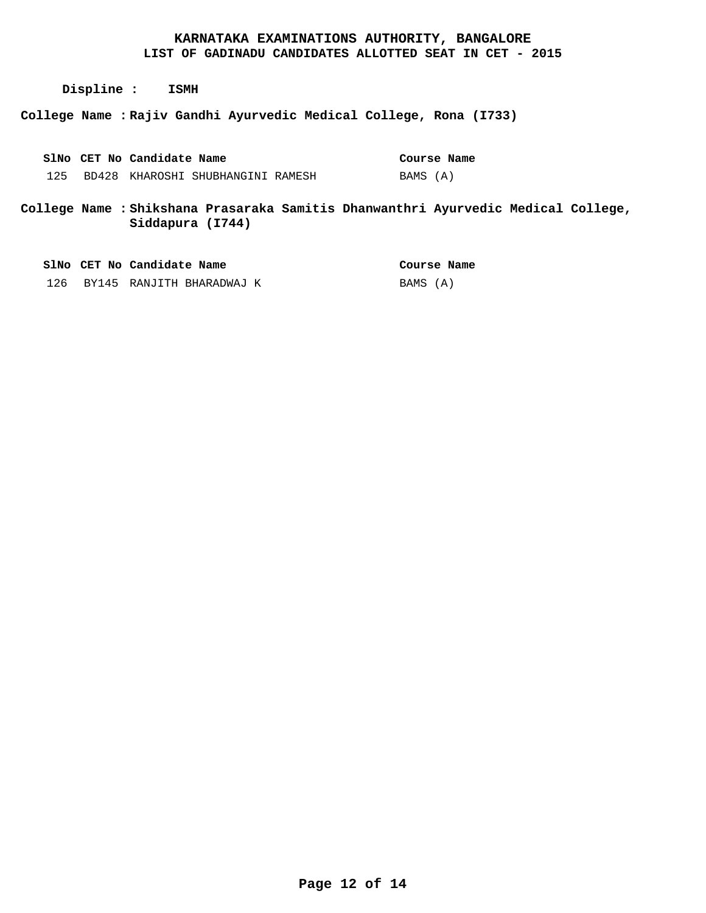**Displine : ISMH**

**Rajiv Gandhi Ayurvedic Medical College, Rona (I733) College Name :**

BD428 KHAROSHI SHUBHANGINI RAMESH 125 **CET No Candidate Name SlNo** BAMS (A) **Course Name** 

**Shikshana Prasaraka Samitis Dhanwanthri Ayurvedic Medical College, College Name : Siddapura (I744)**

|     | SlNo CET No Candidate Name | Course Name |
|-----|----------------------------|-------------|
| 126 | BY145 RANJITH BHARADWAJ K  | BAMS (A)    |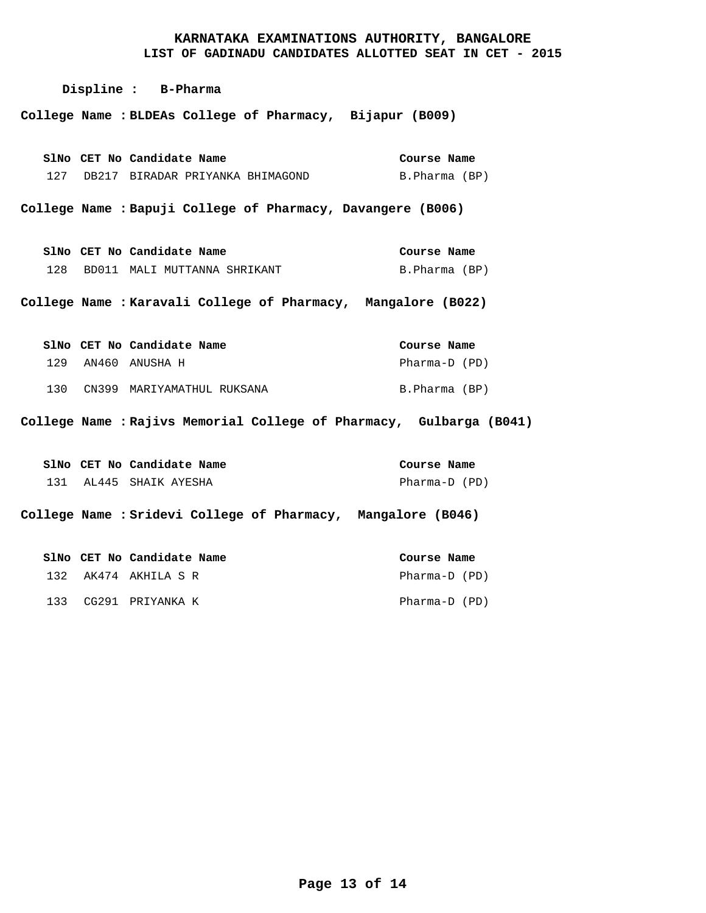**LIST OF GADINADU CANDIDATES ALLOTTED SEAT IN CET - 2015**

**Displine : B-Pharma**

**BLDEAs College of Pharmacy, Bijapur (B009) College Name :**

|  | SlNo CET No Candidate Name           | Course Name   |  |
|--|--------------------------------------|---------------|--|
|  | 127 DB217 BIRADAR PRIYANKA BHIMAGOND | B.Pharma (BP) |  |

**Bapuji College of Pharmacy, Davangere (B006) College Name :**

BD011 MALI MUTTANNA SHRIKANT 128 **CET No Candidate Name SlNo** B.Pharma (BP) **Course Name** 

**Karavali College of Pharmacy, Mangalore (B022) College Name :**

|     | SlNo CET No Candidate Name | Course Name   |
|-----|----------------------------|---------------|
| 129 | AN460 ANUSHA H             | Pharma-D (PD) |
| 130 | CN399 MARIYAMATHUL RUKSANA | B.Pharma (BP) |

**Rajivs Memorial College of Pharmacy, Gulbarga (B041) College Name :**

|  | SlNo CET No Candidate Name | Course Name   |  |
|--|----------------------------|---------------|--|
|  | 131 AL445 SHAIK AYESHA     | Pharma-D (PD) |  |

**Sridevi College of Pharmacy, Mangalore (B046) College Name :**

|  | SlNo CET No Candidate Name | Course Name   |  |
|--|----------------------------|---------------|--|
|  | 132 AK474 AKHILA S R       | Pharma-D (PD) |  |
|  | 133 CG291 PRIYANKA K       | Pharma-D (PD) |  |